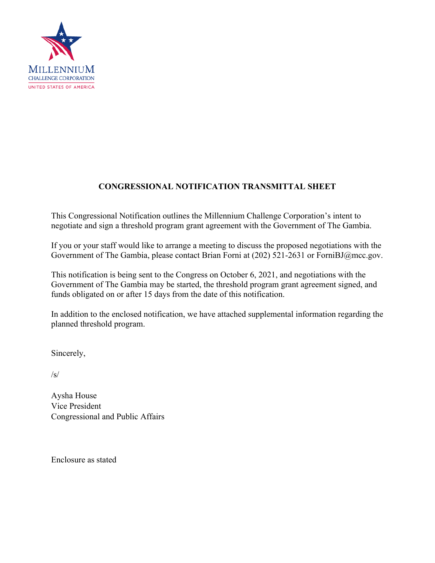

# **CONGRESSIONAL NOTIFICATION TRANSMITTAL SHEET**

This Congressional Notification outlines the Millennium Challenge Corporation's intent to negotiate and sign a threshold program grant agreement with the Government of The Gambia.

If you or your staff would like to arrange a meeting to discuss the proposed negotiations with the Government of The Gambia, please contact Brian Forni at (202) 521-2631 or ForniBJ@mcc.gov.

This notification is being sent to the Congress on October 6, 2021, and negotiations with the Government of The Gambia may be started, the threshold program grant agreement signed, and funds obligated on or after 15 days from the date of this notification.

In addition to the enclosed notification, we have attached supplemental information regarding the planned threshold program.

Sincerely,

/s/

Aysha House Vice President Congressional and Public Affairs

Enclosure as stated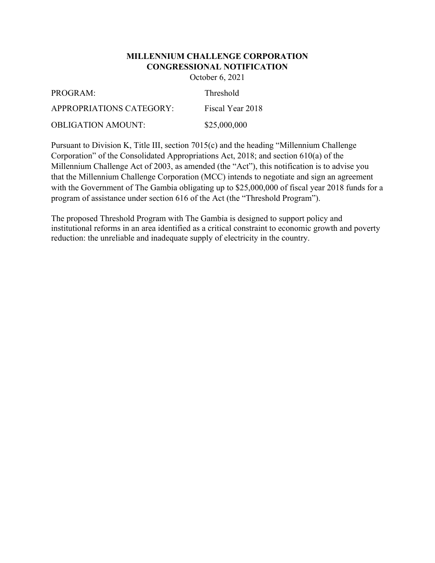# **MILLENNIUM CHALLENGE CORPORATION CONGRESSIONAL NOTIFICATION**

October 6, 2021

| PROGRAM:                 | <b>Threshold</b> |
|--------------------------|------------------|
| APPROPRIATIONS CATEGORY: | Fiscal Year 2018 |
| OBLIGATION AMOUNT:       | \$25,000,000     |

Pursuant to Division K, Title III, section 7015(c) and the heading "Millennium Challenge Corporation" of the Consolidated Appropriations Act, 2018; and section 610(a) of the Millennium Challenge Act of 2003, as amended (the "Act"), this notification is to advise you that the Millennium Challenge Corporation (MCC) intends to negotiate and sign an agreement with the Government of The Gambia obligating up to \$25,000,000 of fiscal year 2018 funds for a program of assistance under section 616 of the Act (the "Threshold Program").

The proposed Threshold Program with The Gambia is designed to support policy and institutional reforms in an area identified as a critical constraint to economic growth and poverty reduction: the unreliable and inadequate supply of electricity in the country.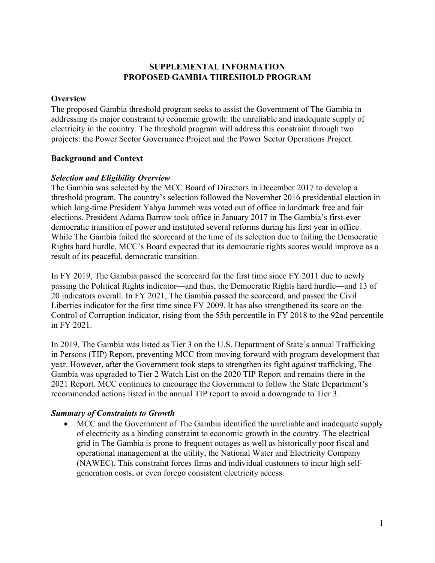# **SUPPLEMENTAL INFORMATION PROPOSED GAMBIA THRESHOLD PROGRAM**

#### **Overview**

The proposed Gambia threshold program seeks to assist the Government of The Gambia in addressing its major constraint to economic growth: the unreliable and inadequate supply of electricity in the country. The threshold program will address this constraint through two projects: the Power Sector Governance Project and the Power Sector Operations Project.

# **Background and Context**

#### *Selection and Eligibility Overview*

The Gambia was selected by the MCC Board of Directors in December 2017 to develop a threshold program. The country's selection followed the November 2016 presidential election in which long-time President Yahya Jammeh was voted out of office in landmark free and fair elections. President Adama Barrow took office in January 2017 in The Gambia's first-ever democratic transition of power and instituted several reforms during his first year in office. While The Gambia failed the scorecard at the time of its selection due to failing the Democratic Rights hard hurdle, MCC's Board expected that its democratic rights scores would improve as a result of its peaceful, democratic transition.

In FY 2019, The Gambia passed the scorecard for the first time since FY 2011 due to newly passing the Political Rights indicator—and thus, the Democratic Rights hard hurdle—and 13 of 20 indicators overall. In FY 2021, The Gambia passed the scorecard, and passed the Civil Liberties indicator for the first time since FY 2009. It has also strengthened its score on the Control of Corruption indicator, rising from the 55th percentile in FY 2018 to the 92nd percentile in FY 2021.

In 2019, The Gambia was listed as Tier 3 on the U.S. Department of State's annual Trafficking in Persons (TIP) Report, preventing MCC from moving forward with program development that year. However, after the Government took steps to strengthen its fight against trafficking, The Gambia was upgraded to Tier 2 Watch List on the 2020 TIP Report and remains there in the 2021 Report. MCC continues to encourage the Government to follow the State Department's recommended actions listed in the annual TIP report to avoid a downgrade to Tier 3.

# *Summary of Constraints to Growth*

 MCC and the Government of The Gambia identified the unreliable and inadequate supply of electricity as a binding constraint to economic growth in the country. The electrical grid in The Gambia is prone to frequent outages as well as historically poor fiscal and operational management at the utility, the National Water and Electricity Company (NAWEC). This constraint forces firms and individual customers to incur high selfgeneration costs, or even forego consistent electricity access.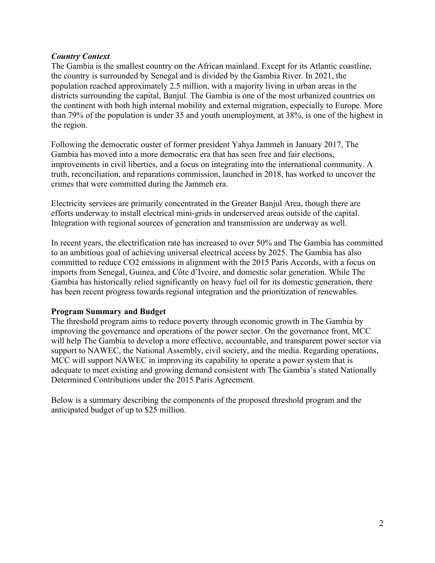#### *Country Context*

The Gambia is the smallest country on the African mainland. Except for its Atlantic coastline, the country is surrounded by Senegal and is divided by the Gambia River. In 2021, the population reached approximately 2.5 million, with a majority living in urban areas in the districts surrounding the capital, Banjul. The Gambia is one of the most urbanized countries on the continent with both high internal mobility and external migration, especially to Europe. More than 79% of the population is under 35 and youth unemployment, at 38%, is one of the highest in the region.

Following the democratic ouster of former president Yahya Jammeh in January 2017, The Gambia has moved into a more democratic era that has seen free and fair elections, improvements in civil liberties, and a focus on integrating into the international community. A truth, reconciliation, and reparations commission, launched in 2018, has worked to uncover the crimes that were committed during the Jammeh era.

Electricity services are primarily concentrated in the Greater Banjul Area, though there are efforts underway to install electrical mini-grids in underserved areas outside of the capital. Integration with regional sources of generation and transmission are underway as well.

In recent years, the electrification rate has increased to over 50% and The Gambia has committed to an ambitious goal of achieving universal electrical access by 2025. The Gambia has also committed to reduce CO2 emissions in alignment with the 2015 Paris Accords, with a focus on imports from Senegal, Guinea, and Côte d'Ivoire, and domestic solar generation. While The Gambia has historically relied significantly on heavy fuel oil for its domestic generation, there has been recent progress towards regional integration and the prioritization of renewables.

#### **Program Summary and Budget**

The threshold program aims to reduce poverty through economic growth in The Gambia by improving the governance and operations of the power sector. On the governance front, MCC will help The Gambia to develop a more effective, accountable, and transparent power sector via support to NAWEC, the National Assembly, civil society, and the media. Regarding operations, MCC will support NAWEC in improving its capability to operate a power system that is adequate to meet existing and growing demand consistent with The Gambia's stated Nationally Determined Contributions under the 2015 Paris Agreement.

Below is a summary describing the components of the proposed threshold program and the anticipated budget of up to \$25 million.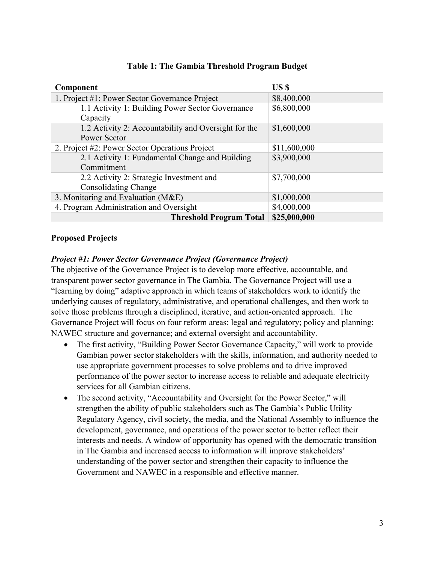| Component                                            | US \$        |
|------------------------------------------------------|--------------|
| 1. Project #1: Power Sector Governance Project       | \$8,400,000  |
| 1.1 Activity 1: Building Power Sector Governance     | \$6,800,000  |
| Capacity                                             |              |
| 1.2 Activity 2: Accountability and Oversight for the | \$1,600,000  |
| Power Sector                                         |              |
| 2. Project #2: Power Sector Operations Project       | \$11,600,000 |
| 2.1 Activity 1: Fundamental Change and Building      | \$3,900,000  |
| Commitment                                           |              |
| 2.2 Activity 2: Strategic Investment and             | \$7,700,000  |
| <b>Consolidating Change</b>                          |              |
| 3. Monitoring and Evaluation (M&E)                   | \$1,000,000  |
| 4. Program Administration and Oversight              | \$4,000,000  |
| <b>Threshold Program Total</b>                       | \$25,000,000 |

# **Table 1: The Gambia Threshold Program Budget**

#### **Proposed Projects**

# *Project #1: Power Sector Governance Project (Governance Project)*

The objective of the Governance Project is to develop more effective, accountable, and transparent power sector governance in The Gambia. The Governance Project will use a "learning by doing" adaptive approach in which teams of stakeholders work to identify the underlying causes of regulatory, administrative, and operational challenges, and then work to solve those problems through a disciplined, iterative, and action-oriented approach. The Governance Project will focus on four reform areas: legal and regulatory; policy and planning; NAWEC structure and governance; and external oversight and accountability.

- The first activity, "Building Power Sector Governance Capacity," will work to provide Gambian power sector stakeholders with the skills, information, and authority needed to use appropriate government processes to solve problems and to drive improved performance of the power sector to increase access to reliable and adequate electricity services for all Gambian citizens.
- The second activity, "Accountability and Oversight for the Power Sector," will strengthen the ability of public stakeholders such as The Gambia's Public Utility Regulatory Agency, civil society, the media, and the National Assembly to influence the development, governance, and operations of the power sector to better reflect their interests and needs. A window of opportunity has opened with the democratic transition in The Gambia and increased access to information will improve stakeholders' understanding of the power sector and strengthen their capacity to influence the Government and NAWEC in a responsible and effective manner.